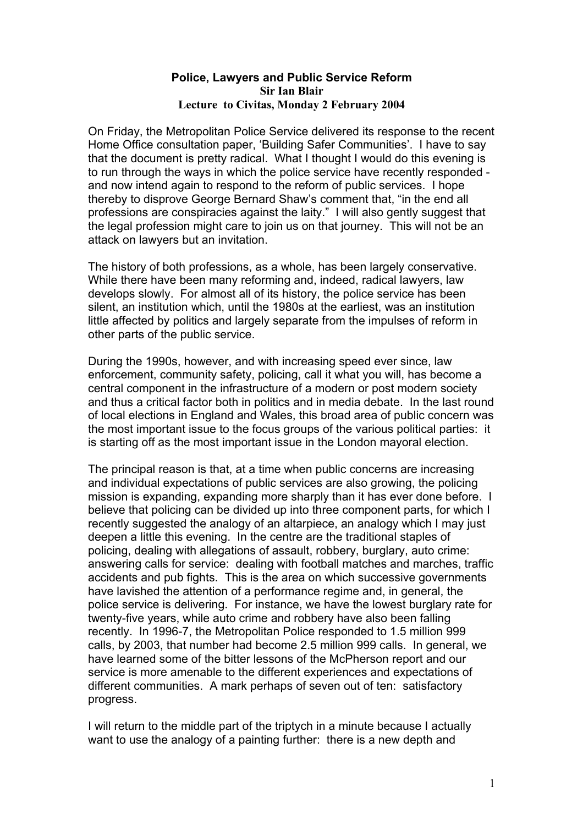## **Police, Lawyers and Public Service Reform Sir Ian Blair Lecture to Civitas, Monday 2 February 2004**

On Friday, the Metropolitan Police Service delivered its response to the recent Home Office consultation paper, 'Building Safer Communities'. I have to say that the document is pretty radical. What I thought I would do this evening is to run through the ways in which the police service have recently responded and now intend again to respond to the reform of public services. I hope thereby to disprove George Bernard Shaw's comment that, "in the end all professions are conspiracies against the laity." I will also gently suggest that the legal profession might care to join us on that journey. This will not be an attack on lawyers but an invitation.

The history of both professions, as a whole, has been largely conservative. While there have been many reforming and, indeed, radical lawyers, law develops slowly. For almost all of its history, the police service has been silent, an institution which, until the 1980s at the earliest, was an institution little affected by politics and largely separate from the impulses of reform in other parts of the public service.

During the 1990s, however, and with increasing speed ever since, law enforcement, community safety, policing, call it what you will, has become a central component in the infrastructure of a modern or post modern society and thus a critical factor both in politics and in media debate. In the last round of local elections in England and Wales, this broad area of public concern was the most important issue to the focus groups of the various political parties: it is starting off as the most important issue in the London mayoral election.

The principal reason is that, at a time when public concerns are increasing and individual expectations of public services are also growing, the policing mission is expanding, expanding more sharply than it has ever done before. I believe that policing can be divided up into three component parts, for which I recently suggested the analogy of an altarpiece, an analogy which I may just deepen a little this evening. In the centre are the traditional staples of policing, dealing with allegations of assault, robbery, burglary, auto crime: answering calls for service: dealing with football matches and marches, traffic accidents and pub fights. This is the area on which successive governments have lavished the attention of a performance regime and, in general, the police service is delivering. For instance, we have the lowest burglary rate for twenty-five years, while auto crime and robbery have also been falling recently. In 1996-7, the Metropolitan Police responded to 1.5 million 999 calls, by 2003, that number had become 2.5 million 999 calls. In general, we have learned some of the bitter lessons of the McPherson report and our service is more amenable to the different experiences and expectations of different communities. A mark perhaps of seven out of ten: satisfactory progress.

I will return to the middle part of the triptych in a minute because I actually want to use the analogy of a painting further: there is a new depth and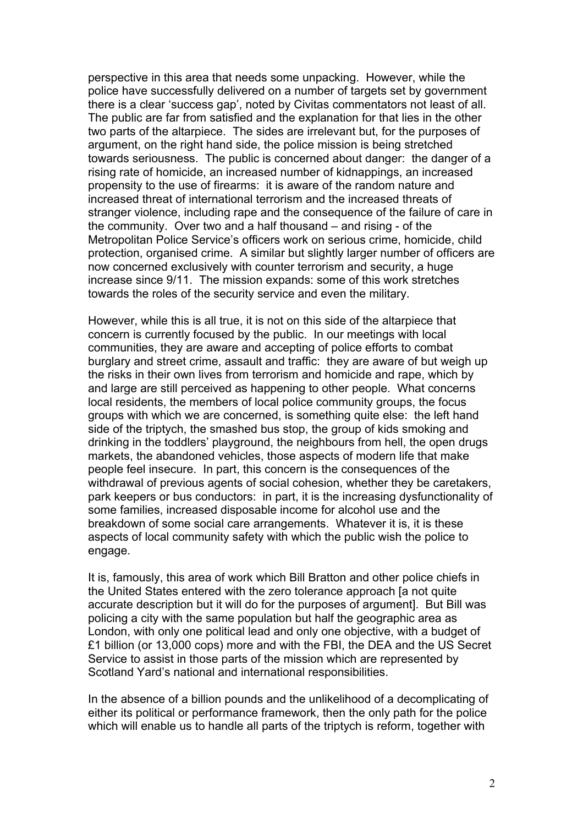perspective in this area that needs some unpacking. However, while the police have successfully delivered on a number of targets set by government there is a clear 'success gap', noted by Civitas commentators not least of all. The public are far from satisfied and the explanation for that lies in the other two parts of the altarpiece. The sides are irrelevant but, for the purposes of argument, on the right hand side, the police mission is being stretched towards seriousness. The public is concerned about danger: the danger of a rising rate of homicide, an increased number of kidnappings, an increased propensity to the use of firearms: it is aware of the random nature and increased threat of international terrorism and the increased threats of stranger violence, including rape and the consequence of the failure of care in the community. Over two and a half thousand – and rising - of the Metropolitan Police Service's officers work on serious crime, homicide, child protection, organised crime. A similar but slightly larger number of officers are now concerned exclusively with counter terrorism and security, a huge increase since 9/11. The mission expands: some of this work stretches towards the roles of the security service and even the military.

However, while this is all true, it is not on this side of the altarpiece that concern is currently focused by the public. In our meetings with local communities, they are aware and accepting of police efforts to combat burglary and street crime, assault and traffic: they are aware of but weigh up the risks in their own lives from terrorism and homicide and rape, which by and large are still perceived as happening to other people. What concerns local residents, the members of local police community groups, the focus groups with which we are concerned, is something quite else: the left hand side of the triptych, the smashed bus stop, the group of kids smoking and drinking in the toddlers' playground, the neighbours from hell, the open drugs markets, the abandoned vehicles, those aspects of modern life that make people feel insecure. In part, this concern is the consequences of the withdrawal of previous agents of social cohesion, whether they be caretakers, park keepers or bus conductors: in part, it is the increasing dysfunctionality of some families, increased disposable income for alcohol use and the breakdown of some social care arrangements. Whatever it is, it is these aspects of local community safety with which the public wish the police to engage.

It is, famously, this area of work which Bill Bratton and other police chiefs in the United States entered with the zero tolerance approach [a not quite accurate description but it will do for the purposes of argument]. But Bill was policing a city with the same population but half the geographic area as London, with only one political lead and only one objective, with a budget of £1 billion (or 13,000 cops) more and with the FBI, the DEA and the US Secret Service to assist in those parts of the mission which are represented by Scotland Yard's national and international responsibilities.

In the absence of a billion pounds and the unlikelihood of a decomplicating of either its political or performance framework, then the only path for the police which will enable us to handle all parts of the triptych is reform, together with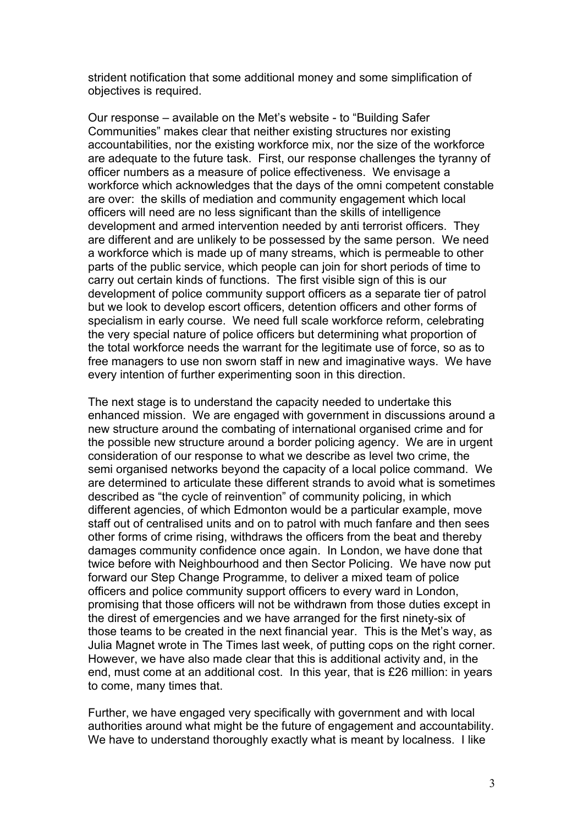strident notification that some additional money and some simplification of objectives is required.

Our response – available on the Met's website - to "Building Safer Communities" makes clear that neither existing structures nor existing accountabilities, nor the existing workforce mix, nor the size of the workforce are adequate to the future task. First, our response challenges the tyranny of officer numbers as a measure of police effectiveness. We envisage a workforce which acknowledges that the days of the omni competent constable are over: the skills of mediation and community engagement which local officers will need are no less significant than the skills of intelligence development and armed intervention needed by anti terrorist officers. They are different and are unlikely to be possessed by the same person. We need a workforce which is made up of many streams, which is permeable to other parts of the public service, which people can join for short periods of time to carry out certain kinds of functions. The first visible sign of this is our development of police community support officers as a separate tier of patrol but we look to develop escort officers, detention officers and other forms of specialism in early course. We need full scale workforce reform, celebrating the very special nature of police officers but determining what proportion of the total workforce needs the warrant for the legitimate use of force, so as to free managers to use non sworn staff in new and imaginative ways. We have every intention of further experimenting soon in this direction.

The next stage is to understand the capacity needed to undertake this enhanced mission. We are engaged with government in discussions around a new structure around the combating of international organised crime and for the possible new structure around a border policing agency. We are in urgent consideration of our response to what we describe as level two crime, the semi organised networks beyond the capacity of a local police command. We are determined to articulate these different strands to avoid what is sometimes described as "the cycle of reinvention" of community policing, in which different agencies, of which Edmonton would be a particular example, move staff out of centralised units and on to patrol with much fanfare and then sees other forms of crime rising, withdraws the officers from the beat and thereby damages community confidence once again. In London, we have done that twice before with Neighbourhood and then Sector Policing. We have now put forward our Step Change Programme, to deliver a mixed team of police officers and police community support officers to every ward in London, promising that those officers will not be withdrawn from those duties except in the direst of emergencies and we have arranged for the first ninety-six of those teams to be created in the next financial year. This is the Met's way, as Julia Magnet wrote in The Times last week, of putting cops on the right corner. However, we have also made clear that this is additional activity and, in the end, must come at an additional cost. In this year, that is £26 million: in years to come, many times that.

Further, we have engaged very specifically with government and with local authorities around what might be the future of engagement and accountability. We have to understand thoroughly exactly what is meant by localness. I like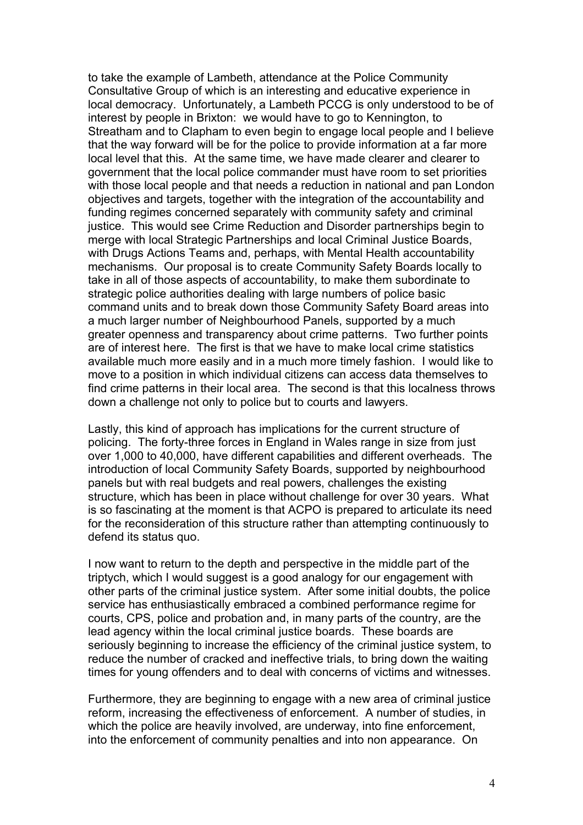to take the example of Lambeth, attendance at the Police Community Consultative Group of which is an interesting and educative experience in local democracy. Unfortunately, a Lambeth PCCG is only understood to be of interest by people in Brixton: we would have to go to Kennington, to Streatham and to Clapham to even begin to engage local people and I believe that the way forward will be for the police to provide information at a far more local level that this. At the same time, we have made clearer and clearer to government that the local police commander must have room to set priorities with those local people and that needs a reduction in national and pan London objectives and targets, together with the integration of the accountability and funding regimes concerned separately with community safety and criminal justice. This would see Crime Reduction and Disorder partnerships begin to merge with local Strategic Partnerships and local Criminal Justice Boards, with Drugs Actions Teams and, perhaps, with Mental Health accountability mechanisms. Our proposal is to create Community Safety Boards locally to take in all of those aspects of accountability, to make them subordinate to strategic police authorities dealing with large numbers of police basic command units and to break down those Community Safety Board areas into a much larger number of Neighbourhood Panels, supported by a much greater openness and transparency about crime patterns. Two further points are of interest here. The first is that we have to make local crime statistics available much more easily and in a much more timely fashion. I would like to move to a position in which individual citizens can access data themselves to find crime patterns in their local area. The second is that this localness throws down a challenge not only to police but to courts and lawyers.

Lastly, this kind of approach has implications for the current structure of policing. The forty-three forces in England in Wales range in size from just over 1,000 to 40,000, have different capabilities and different overheads. The introduction of local Community Safety Boards, supported by neighbourhood panels but with real budgets and real powers, challenges the existing structure, which has been in place without challenge for over 30 years. What is so fascinating at the moment is that ACPO is prepared to articulate its need for the reconsideration of this structure rather than attempting continuously to defend its status quo.

I now want to return to the depth and perspective in the middle part of the triptych, which I would suggest is a good analogy for our engagement with other parts of the criminal justice system. After some initial doubts, the police service has enthusiastically embraced a combined performance regime for courts, CPS, police and probation and, in many parts of the country, are the lead agency within the local criminal justice boards. These boards are seriously beginning to increase the efficiency of the criminal justice system, to reduce the number of cracked and ineffective trials, to bring down the waiting times for young offenders and to deal with concerns of victims and witnesses.

Furthermore, they are beginning to engage with a new area of criminal justice reform, increasing the effectiveness of enforcement. A number of studies, in which the police are heavily involved, are underway, into fine enforcement, into the enforcement of community penalties and into non appearance. On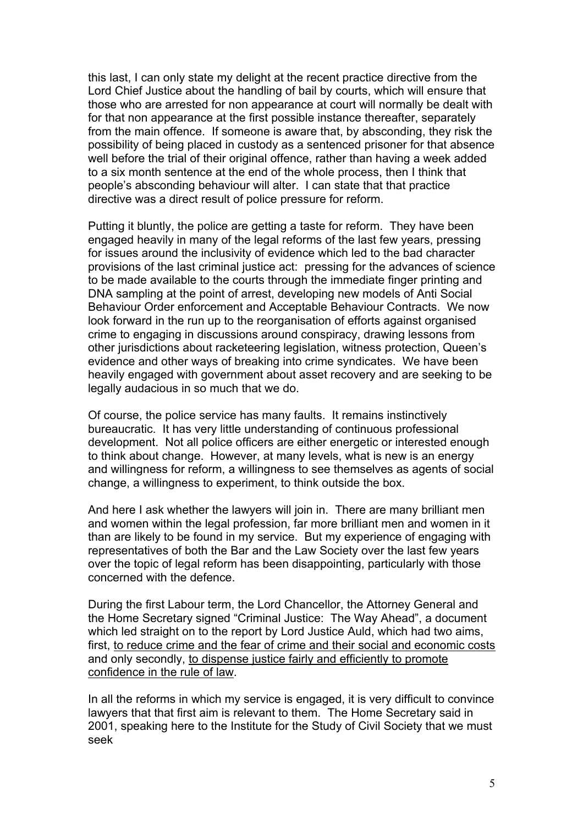this last, I can only state my delight at the recent practice directive from the Lord Chief Justice about the handling of bail by courts, which will ensure that those who are arrested for non appearance at court will normally be dealt with for that non appearance at the first possible instance thereafter, separately from the main offence. If someone is aware that, by absconding, they risk the possibility of being placed in custody as a sentenced prisoner for that absence well before the trial of their original offence, rather than having a week added to a six month sentence at the end of the whole process, then I think that people's absconding behaviour will alter. I can state that that practice directive was a direct result of police pressure for reform.

Putting it bluntly, the police are getting a taste for reform. They have been engaged heavily in many of the legal reforms of the last few years, pressing for issues around the inclusivity of evidence which led to the bad character provisions of the last criminal justice act: pressing for the advances of science to be made available to the courts through the immediate finger printing and DNA sampling at the point of arrest, developing new models of Anti Social Behaviour Order enforcement and Acceptable Behaviour Contracts. We now look forward in the run up to the reorganisation of efforts against organised crime to engaging in discussions around conspiracy, drawing lessons from other jurisdictions about racketeering legislation, witness protection, Queen's evidence and other ways of breaking into crime syndicates. We have been heavily engaged with government about asset recovery and are seeking to be legally audacious in so much that we do.

Of course, the police service has many faults. It remains instinctively bureaucratic. It has very little understanding of continuous professional development. Not all police officers are either energetic or interested enough to think about change. However, at many levels, what is new is an energy and willingness for reform, a willingness to see themselves as agents of social change, a willingness to experiment, to think outside the box.

And here I ask whether the lawyers will join in. There are many brilliant men and women within the legal profession, far more brilliant men and women in it than are likely to be found in my service. But my experience of engaging with representatives of both the Bar and the Law Society over the last few years over the topic of legal reform has been disappointing, particularly with those concerned with the defence.

During the first Labour term, the Lord Chancellor, the Attorney General and the Home Secretary signed "Criminal Justice: The Way Ahead", a document which led straight on to the report by Lord Justice Auld, which had two aims, first, to reduce crime and the fear of crime and their social and economic costs and only secondly, to dispense justice fairly and efficiently to promote confidence in the rule of law.

In all the reforms in which my service is engaged, it is very difficult to convince lawyers that that first aim is relevant to them. The Home Secretary said in 2001, speaking here to the Institute for the Study of Civil Society that we must seek